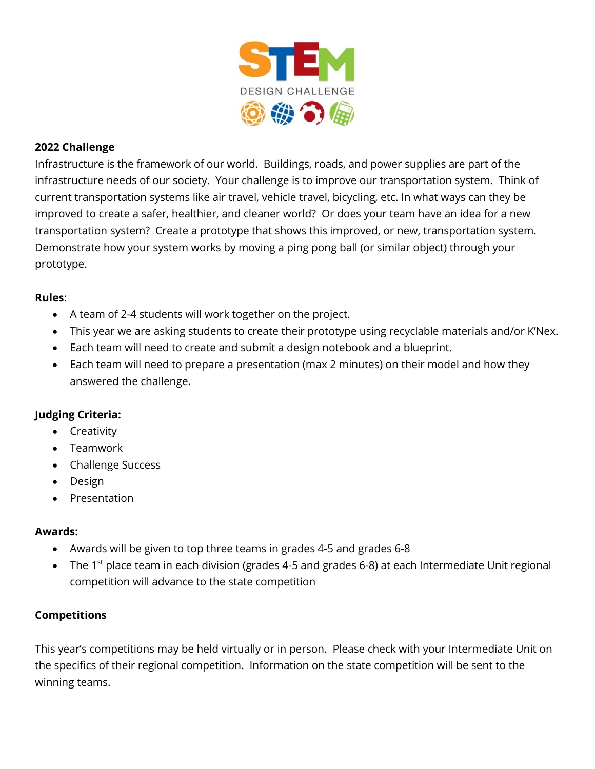

# **2022 Challenge**

Infrastructure is the framework of our world. Buildings, roads, and power supplies are part of the infrastructure needs of our society. Your challenge is to improve our transportation system. Think of current transportation systems like air travel, vehicle travel, bicycling, etc. In what ways can they be improved to create a safer, healthier, and cleaner world? Or does your team have an idea for a new transportation system? Create a prototype that shows this improved, or new, transportation system. Demonstrate how your system works by moving a ping pong ball (or similar object) through your prototype.

## **Rules**:

- A team of 2-4 students will work together on the project.
- This year we are asking students to create their prototype using recyclable materials and/or K'Nex.
- Each team will need to create and submit a design notebook and a blueprint.
- Each team will need to prepare a presentation (max 2 minutes) on their model and how they answered the challenge.

## **Judging Criteria:**

- Creativity
- Teamwork
- Challenge Success
- Design
- Presentation

## **Awards:**

- Awards will be given to top three teams in grades 4-5 and grades 6-8
- The 1<sup>st</sup> place team in each division (grades 4-5 and grades 6-8) at each Intermediate Unit regional competition will advance to the state competition

## **Competitions**

This year's competitions may be held virtually or in person. Please check with your Intermediate Unit on the specifics of their regional competition. Information on the state competition will be sent to the winning teams.